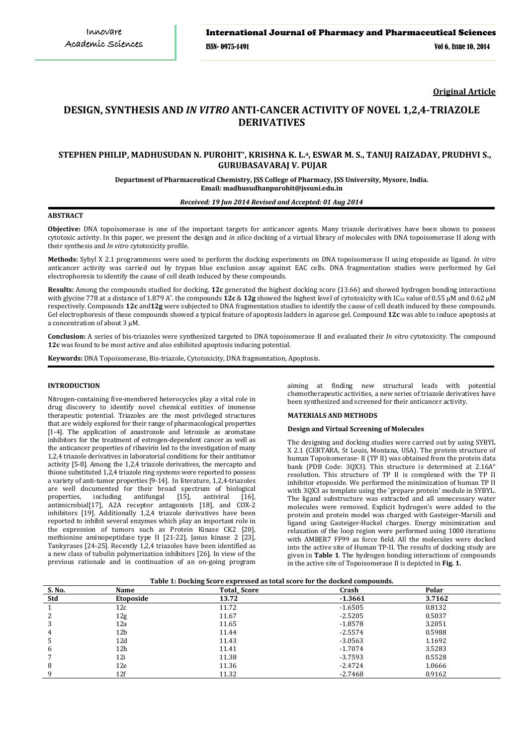**Original Article**

# **DESIGN, SYNTHESIS AND** *IN VITRO* **ANTI-CANCER ACTIVITY OF NOVEL 1,2,4-TRIAZOLE DERIVATIVES**

# **STEPHEN PHILIP, MADHUSUDAN N. PUROHIT\* , KRISHNA K. L.a, ESWAR M. S., TANUJ RAIZADAY, PRUDHVI S., GURUBASAVARAJ V. PUJAR**

**Department of Pharmaceutical Chemistry, JSS College of Pharmacy, JSS University, Mysore, India. Email: madhusudhanpurohit@jssuni.edu.in**

# *Received: 19 Jun 2014 Revised and Accepted: 01 Aug 2014*

### **ABSTRACT**

**Objective:** DNA topoisomerase is one of the important targets for anticancer agents. Many triazole derivatives have been shown to possess cytotoxic activity. In this paper, we present the design and *in silico* docking of a virtual library of molecules with DNA topoisomerase II along with their synthesis and *In vitro* cytotoxicity profile.

**Methods:** Sybyl X 2.1 programmesss were used to perform the docking experiments on DNA topoisomerase II using etoposide as ligand. *In vitro* anticancer activity was carried out by trypan blue exclusion assay against EAC cells. DNA fragmentation studies were performed by Gel electrophoresis to identify the cause of cell death induced by these compounds.

**Results:** Among the compounds studied for docking, **12c** generated the highest docking score (13.66) and showed hydrogen bonding interactions with glycine 778 at a distance of 1.879 A˚. the compounds **12c** & **12g** showed the highest level of cytotoxicity with IC50 value of 0.55 μM and 0.62 μM respectively. Compounds **12c** and**12g** were subjected to DNA fragmentation studies to identify the cause of cell death induced by these compounds. Gel electrophoresis of these compounds showed a typical feature of apoptosis ladders in agarose gel. Compound **12c** was able to induce apoptosis at a concentration of about 3 μM.

**Conclusion:** A series of bis-triazoles were synthesized targeted to DNA topoisomerase II and evaluated their *In vitro* cytotoxicity. The compound **12c** was found to be most active and also exhibited apoptosis inducing potential.

**Keywords:** DNA Topoisomerase, Bis-triazole, Cytotoxicity, DNA fragmentation, Apoptosis.

# **INTRODUCTION**

Nitrogen-containing five-membered heterocycles play a vital role in drug discovery to identify novel chemical entities of immense therapeutic potential. Triazoles are the most privileged structures that are widely explored for their range of pharmacological properties [1-4]. The application of anastrozole and letrozole as aromatase inhibitors for the treatment of estrogen-dependent cancer as well as the anticancer properties of ribavirin led to the investigation of many 1,2,4 triazole derivatives in laboratorial conditions for their antitumor activity [5-8]. Among the 1,2,4 triazole derivatives, the mercapto and thione substituted 1,2,4 triazole ring systems were reported to possess a variety of anti-tumor properties [9-14]. In literature, 1,2,4-triazoles are well documented for their broad spectrum of biological<br>properties, including antifungal [15], antiviral [16], properties, including antifungal [15], antiviral [16], antimicrobial[17], A2A receptor antagonists [18], and COX-2 inhibitors [19]. Additionally 1,2,4 triazole derivatives have been reported to inhibit several enzymes which play an important role in the expression of tumors such as Protein Kinase CK2 [20], methionine aminopeptidase type II [21-22], Janus kinase 2 [23], Tankyrases [24-25]. Recently 1,2,4 triazoles have been identified as a new class of tubulin polymerization inhibitors [26]. In view of the previous rationale and in continuation of an on-going program

aiming at finding new structural leads with potential chemotherapeutic activities, a new series of triazole derivatives have been synthesized and screened for their anticancer activity.

#### **MATERIALS AND METHODS**

#### **Design and Virtual Screening of Molecules**

The designing and docking studies were carried out by using SYBYL X 2.1 (CERTARA, St Louis, Montana, USA). The protein structure of human Topoisomerase- II (TP II) was obtained from the protein data bank (PDB Code: 3QX3). This structure is determined at 2.16A° resolution. This structure of TP II is complexed with the TP II inhibitor etoposide. We performed the minimization of human TP II with 3QX3 as template using the 'prepare protein' module in SYBYL. The ligand substructure was extracted and all unnecessary water molecules were removed. Explicit hydrogen's were added to the protein and protein model was charged with Gasteiger-Marsili and ligand using Gasteiger-Huckel charges. Energy minimization and relaxation of the loop region were performed using 1000 iterations with AMBER7 FF99 as force field. All the molecules were docked into the active site of Human TP-II. The results of docking study are given in **Table 1**. The hydrogen bonding interactions of compounds in the active site of Topoisomerase II is depicted in **Fig. 1.**

|--|

| S. No. | Name            | <b>Total Score</b> | Crash     | Polar  |
|--------|-----------------|--------------------|-----------|--------|
| Std    | Etoposide       | 13.72              | $-1.3661$ | 3.7162 |
|        | 12c             | 11.72              | $-1.6505$ | 0.8132 |
| 2      | 12g             | 11.67              | $-2.5205$ | 0.5037 |
| 3      | 12a             | 11.65              | $-1.8578$ | 3.2051 |
| 4      | 12 <sub>b</sub> | 11.44              | $-2.5574$ | 0.5988 |
| Ь      | 12d             | 11.43              | $-3.0563$ | 1.1692 |
| 6      | 12h             | 11.41              | $-1.7074$ | 3.5283 |
|        | 12i             | 11.38              | $-3.7593$ | 0.5528 |
| 8      | 12e             | 11.36              | $-2.4724$ | 1.0666 |
| 9      | 12f             | 11.32              | $-2.7468$ | 0.9162 |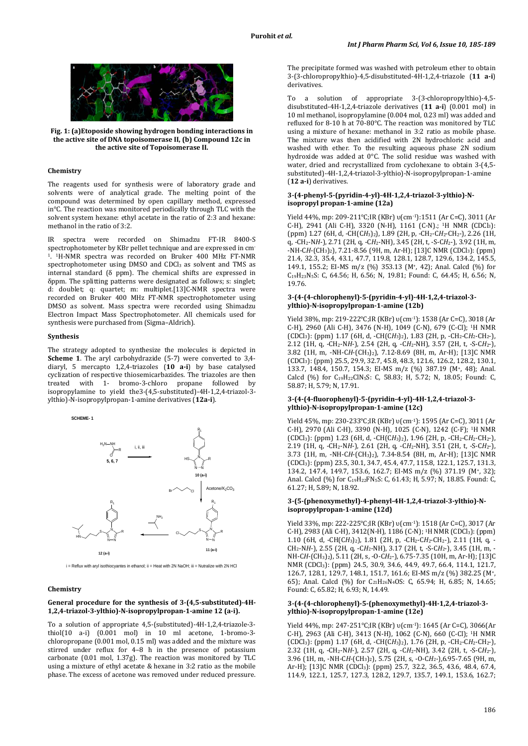

**Fig. 1: (a)Etoposide showing hydrogen bonding interactions in the active site of DNA topoisomerase II, (b) Compound 12c in the active site of Topoisomerase II.**

# **Chemistry**

The reagents used for synthesis were of laboratory grade and solvents were of analytical grade. The melting point of the compound was determined by open capillary method, expressed in°C. The reaction was monitored periodically through TLC with the solvent system hexane: ethyl acetate in the ratio of 2:3 and hexane: methanol in the ratio of 3:2.

IR spectra were recorded on Shimadzu FT-IR 8400-S spectrophotometer by KBr pellet technique and are expressed in cm-1. 1H-NMR spectra was recorded on Bruker 400 MHz FT-NMR spectrophotometer using DMSO and CDCl<sub>3</sub> as solvent and TMS as internal standard ( $\delta$  ppm). The chemical shifts are expressed in δppm. The splitting patterns were designated as follows; s: singlet; d: doublet; q: quartet; m: multiplet.[13]C-NMR spectra were recorded on Bruker 400 MHz FT-NMR spectrophotometer using DMSO as solvent. Mass spectra were recorded using Shimadzu Electron Impact Mass Spectrophotometer. All chemicals used for synthesis were purchased from (Sigma–Aldrich).

#### **Synthesis**

The strategy adopted to synthesize the molecules is depicted in **Scheme 1**. The aryl carbohydrazide (5-7) were converted to 3,4 diaryl, 5 mercapto 1,2,4-triazoles (**10 a-i**) by base catalysed cyclization of respective thiosemicarbazides. The triazoles are then treated with 1- bromo-3-chloro propane followed by isopropylamine to yield the3-(4,5-substituted)-4H-1,2,4-triazol-3 ylthio)-N-isopropylpropan-1-amine derivatives (**12a-i**).

**SCHEME- 1**



 $i$  = Reflux with aryl isothiocyantes in ethanol;  $ii$  = Heat with 2N NaOH;  $iii$  = Nutralize with 2N HCl

#### **Chemistry**

# **General procedure for the synthesis of 3-(4,5-substituted)-4H-1,2,4-triazol-3-ylthio)-N-isopropylpropan-1-amine 12 (a-i).**

To a solution of appropriate 4,5-(substituted)-4H-1,2,4-triazole-3 thiol(10 a-i) (0.001 mol) in 10 ml acetone, 1-bromo-3 chloropropane (0.001 mol, 0.15 ml) was added and the mixture was stirred under reflux for 4–8 h in the presence of potassium carbonate (0.01 mol, 1.37g). The reaction was monitored by TLC using a mixture of ethyl acetate & hexane in 3:2 ratio as the mobile phase. The excess of acetone was removed under reduced pressure.

The precipitate formed was washed with petroleum ether to obtain 3-(3-chloropropylthio)-4,5-disubstituted-4H-1,2,4-triazole (**11 a-i**) derivatives.

To a solution of appropriate 3-(3-chloropropylthio)-4,5 disubstituted-4H-1,2,4-triazole derivatives (**11 a-i**) (0.001 mol) in 10 ml methanol, isopropylamine (0.004 mol, 0.23 ml) was added and refluxed for 8-10 h at 70-80°C. The reaction was monitored by TLC using a mixture of hexane: methanol in 3:2 ratio as mobile phase. The mixture was then acidified with 2N hydrochloric acid and washed with ether. To the resulting aqueous phase 2N sodium hydroxide was added at 0°C. The solid residue was washed with water, dried and recrystallized from cyclohexane to obtain 3-(4,5 substituted)-4H-1,2,4-triazol-3-ylthio)-N-isopropylpropan-1-amine (**12 a-i**) derivatives.

## **3-(4-phenyl-5-(pyridin-4-yl)-4H-1,2,4-triazol-3-ylthio)-Nisopropyl propan-1-amine (12a)**

Yield 44%, mp: 209-211℃;IR (KBr) υ(cm-1):1511 (Ar C=C), 3011 (Ar C-H), 2941 (Ali C-H), 3320 (N-H), 1161 (C-N).; 1H NMR (CDCl3): (ppm) 1.27 (6H, d, -CH(C*H*3)2), 1.89 (2H, p, -CH2-C*H*2-CH2-), 2.26 (1H, q, -CH2-N*H*-), 2.71 (2H, q, -C*H*2-NH), 3.45 (2H, t, -S-C*H*2-), 3.92 (1H, m, -NH-C*H*-(CH3)2), 7.21-8.56 (9H, m, Ar-H); [13]C NMR (CDCl3): (ppm) 21.4, 32.3, 35.4, 43.1, 47.7, 119.8, 128.1, 128.7, 129.6, 134.2, 145.5, 149.1, 155.2; EI-MS m/z (%) 353.13 (M+, 42); Anal. Calcd (%) for C19H23N5S: C, 64.56; H, 6.56; N, 19.81; Found: C, 64.45; H, 6.56; N, 19.76.

### **3-(4-(4-chlorophenyl)-5-(pyridin-4-yl)-4H-1,2,4-triazol-3 ylthio)-N-isopropylpropan-1-amine (12b)**

Yield 38%, mp: 219-222℃;IR (KBr) υ(cm-1): 1538 (Ar C=C), 3018 (Ar C-H), 2960 (Ali C-H), 3476 (N-H), 1049 (C-N), 679 (C-Cl); 1H NMR (CDCl3): (ppm) 1.17 (6H, d, -CH(C*H*3)2), 1.83 (2H, p, -CH2-C*H*2-CH2-), 2.12 (1H, q, -CH2-N*H*-), 2.54 (2H, q, -C*H*2-NH), 3.57 (2H, t, -S-C*H*2-), 3.82 (1H, m, -NH-C*H*-(CH3)2), 7.12-8.69 (8H, m, Ar-H); [13]C NMR (CDCl3): (ppm) 25.5, 29.9, 32.7, 45.8, 48.3, 121.6, 126.2, 128.2, 130.1, 133.7, 148.4, 150.7, 154.3; EI-MS m/z (%) 387.19 (M+, 48); Anal. Calcd (%) for C19H22ClN5S: C, 58.83; H, 5.72; N, 18.05; Found: C, 58.87; H, 5.79; N, 17.91.

### **3-(4-(4-fluorophenyl)-5-(pyridin-4-yl)-4H-1,2,4-triazol-3 ylthio)-N-isopropylpropan-1-amine (12c)**

Yield 45%, mp: 230-233℃;IR (KBr) υ(cm-1): 1595 (Ar C=C), 3011 (Ar C-H), 2970 (Ali C-H), 3390 (N-H), 1025 (C-N), 1242 (C-F); 1H NMR (CDCl3): (ppm) 1.23 (6H, d, -CH(C*H*3)2), 1.96 (2H, p, -CH2-C*H*2-CH2-), 2.19 (1H, q, -CH2-N*H*-), 2.61 (2H, q, -C*H*2-NH), 3.51 (2H, t, -S-C*H*2-), 3.73 (1H, m, -NH-C*H*-(CH3)2), 7.34-8.54 (8H, m, Ar-H); [13]C NMR  $(CDCI<sub>3</sub>)$ : (ppm) 23.5, 30.1, 34.7, 45.4, 47.7, 115.8, 122.1, 125.7, 131.3, 134.2, 147.4, 149.7, 153.6, 162.7; EI-MS m/z (%) 371.19 (M+, 32); Anal. Calcd (%) for C19H22FN5S: C, 61.43; H, 5.97; N, 18.85. Found: C, 61.27; H, 5.89; N, 18.92.

# **3-(5-(phenoxymethyl)-4-phenyl-4H-1,2,4-triazol-3-ylthio)-Nisopropylpropan-1-amine (12d)**

Yield 33%, mp: 222-225℃;IR (KBr) υ(cm-1): 1518 (Ar C=C), 3017 (Ar C-H), 2983 (Ali C-H), 3412(N-H), 1186 (C-N); 1H NMR (CDCl3): (ppm) 1.10 (6H, d, -CH(C*H*3)2), 1.81 (2H, p, -CH2-C*H*2-CH2-), 2.11 (1H, q, - CH2-N*H*-), 2.55 (2H, q, -C*H*2-NH), 3.17 (2H, t, -S-C*H*2-), 3.45 (1H, m, - NH-C*H*-(CH3)2), 5.11 (2H, s, -O-C*H*2-), 6.75-7.35 (10H, m, Ar-H); [13]C NMR (CDCl3): (ppm) 24.5, 30.9, 34.6, 44.9, 49.7, 66.4, 114.1, 121.7, 126.7, 128.1, 129.7, 148.1, 151.7, 161.6; EI-MS m/z (%) 382.25 (M+, 65); Anal. Calcd (%) for C21H26N4OS: C, 65.94; H, 6.85; N, 14.65; Found: C, 65.82; H, 6.93; N, 14.49.

#### **3-(4-(4-chlorophenyl)-5-(phenoxymethyl)-4H-1,2,4-triazol-3 ylthio)-N-isopropylpropan-1-amine (12e)**

Yield 44%, mp: 247-251℃;IR (KBr) υ(cm-1): 1645 (Ar C=C), 3066(Ar C-H), 2963 (Ali C-H), 3413 (N-H), 1062 (C-N), 660 (C-Cl); 1H NMR (CDCl3): (ppm) 1.17 (6H, d, -CH(C*H*3)2), 1.76 (2H, p, -CH2-C*H*2-CH2-), 2.32 (1H, q, -CH2-N*H*-), 2.57 (2H, q, -C*H*2-NH), 3.42 (2H, t, -S-C*H*2-), 3.96 (1H, m, -NH-C*H*-(CH3)2), 5.75 (2H, s, -O-C*H*2-),6.95-7.65 (9H, m, Ar-H); [13]C NMR (CDCl3): (ppm) 25.7, 32.2, 36.5, 43.6, 48.4, 67.4, 114.9, 122.1, 125.7, 127.3, 128.2, 129.7, 135.7, 149.1, 153.6, 162.7;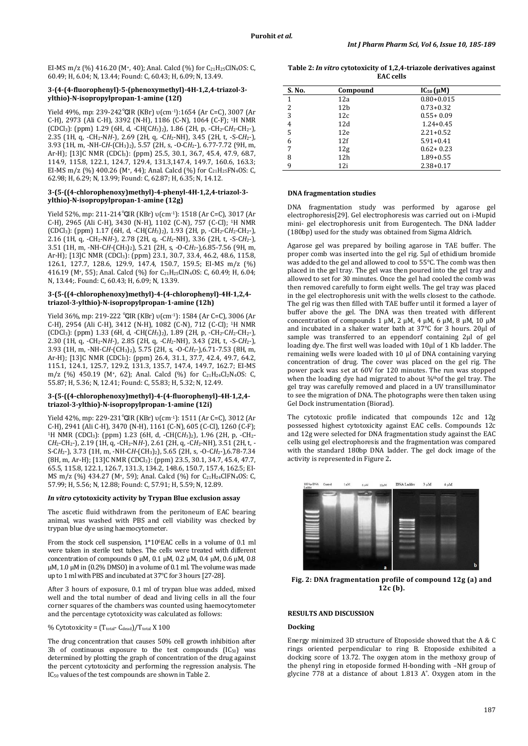EI-MS m/z (%) 416.20 (M<sup>+</sup>, 40); Anal. Calcd (%) for C<sub>21</sub>H<sub>25</sub>ClN<sub>4</sub>OS: C, 60.49; H, 6.04; N, 13.44; Found: C, 60.43; H, 6.09; N, 13.49.

#### **3-(4-(4-fluorophenyl)-5-(phenoxymethyl)-4H-1,2,4-triazol-3 ylthio)-N-isopropylpropan-1-amine (12f)**

Yield 49%, mp: 239-242℃;IR (KBr) υ(cm-1):1654 (Ar C=C), 3007 (Ar C-H), 2973 (Ali C-H), 3392 (N-H), 1186 (C-N), 1064 (C-F); 1H NMR (CDCl3): (ppm) 1.29 (6H, d, -CH(C*H*3)2), 1.86 (2H, p, -CH2-C*H*2-CH2-), 2.35 (1H, q, -CH2-N*H*-), 2.69 (2H, q, -C*H*2-NH), 3.45 (2H, t, -S-C*H*2-), 3.93 (1H, m, -NH-C*H*-(CH3)2), 5.57 (2H, s, -O-C*H*2-), 6.77-7.72 (9H, m, Ar-H); [13]C NMR (CDCl<sub>3</sub>): (ppm) 25.5, 30.1, 36.7, 45.4, 47.9, 68.7, 114.9, 115.8, 122.1, 124.7, 129.4, 131.3,147.4, 149.7, 160.6, 163.3; EI-MS m/z (%) 400.26 (M+, 44); Anal. Calcd (%) for  $C_{21}H_{25}FN_4OS$ : C, 62.98; H, 6.29; N, 13.99; Found: C, 62.87; H, 6.35; N, 14.12.

#### **3-(5-((4-chlorophenoxy)methyl)-4-phenyl-4H-1,2,4-triazol-3 ylthio)-N-isopropylpropan-1-amine (12g)**

Yield 52%, mp: 211-214℃;IR (KBr) υ(cm-1): 1518 (Ar C=C), 3017 (Ar C-H), 2965 (Ali C-H), 3430 (N-H), 1102 (C-N), 757 (C-Cl); 1H NMR (CDCl3): (ppm) 1.17 (6H, d, -CH(C*H*3)2), 1.93 (2H, p, -CH2-C*H*2-CH2-), 2.16 (1H, q, -CH2-N*H*-), 2.78 (2H, q, -C*H*2-NH), 3.36 (2H, t, -S-C*H*2-), 3.51 (1H, m, -NH-C*H*-(CH3)2), 5.21 (2H, s, -O-C*H*2-),6.85-7.56 (9H, m, Ar-H); [13]C NMR (CDCl3): (ppm) 23.1, 30.7, 33.4, 46.2, 48.6, 115.8, 126.1, 127.7, 128.6, 129.9, 147.4, 150.7, 159.5; EI-MS m/z (%) 416.19 (M<sup>+</sup>, 55); Anal. Calcd (%) for C<sub>21</sub>H<sub>25</sub>ClN<sub>4</sub>OS: C, 60.49; H, 6.04; N, 13.44;. Found: C, 60.43; H, 6.09; N, 13.39.

#### **3-(5-((4-chlorophenoxy)methyl)-4-(4-chlorophenyl)-4H-1,2,4 triazol-3-ylthio)-N-isopropylpropan-1-amine (12h)**

Yield 36%, mp: 219-222 °CIR (KBr) υ(cm<sup>-1</sup>): 1584 (Ar C=C), 3006 (Ar C-H), 2954 (Ali C-H), 3412 (N-H), 1082 (C-N), 712 (C-Cl); 1H NMR (CDCl3): (ppm) 1.33 (6H, d, -CH(C*H*3)2), 1.89 (2H, p, -CH2-C*H*2-CH2-), 2.30 (1H, q, -CH2-N*H*-), 2.85 (2H, q, -C*H*2-NH), 3.43 (2H, t, -S-C*H*2-), 3.93 (1H, m, -NH-C*H*-(CH3)2), 5.75 (2H, s, -O-C*H*2-),6.71-7.53 (8H, m, Ar-H); [13]C NMR (CDCl3): (ppm) 26.4, 31.1, 37.7, 42.4, 49.7, 64.2, 115.1, 124.1, 125.7, 129.2, 131.3, 135.7, 147.4, 149.7, 162.7; EI-MS m/z  $(\%)$  450.19 (M<sup>+</sup>, 62); Anal. Calcd  $(\%)$  for C<sub>21</sub>H<sub>24</sub>Cl<sub>2</sub>N<sub>4</sub>OS: C, 55.87; H, 5.36; N, 12.41; Found: C, 55.83; H, 5.32; N, 12.49.

### **3-(5-((4-chlorophenoxy)methyl)-4-(4-fluorophenyl)-4H-1,2,4 triazol-3-ylthio)-N-isopropylpropan-1-amine (12i)**

Yield 42%, mp: 229-231℃, IR (KBr) υ(cm·<sup>1</sup>): 1511 (Ar C=C), 3012 (Ar C-H), 2941 (Ali C-H), 3470 (N-H), 1161 (C-N), 605 (C-Cl), 1260 (C-F); <sup>1</sup>H NMR (CDCl<sub>3</sub>): (ppm) 1.23 (6H, d, -CH(CH<sub>3</sub>)<sub>2</sub>), 1.96 (2H, p, -CH<sub>2</sub>-C*H*2-CH2-), 2.19 (1H, q, -CH2-N*H*-), 2.61 (2H, q, -C*H*2-NH), 3.51 (2H, t, - S-C*H*2-), 3.73 (1H, m, -NH-C*H*-(CH3)2), 5.65 (2H, s, -O-C*H*2-),6.78-7.34 (8H, m, Ar-H); [13]C NMR (CDCl3): (ppm) 23.5, 30.1, 34.7, 45.4, 47.7, 65.5, 115.8, 122.1, 126.7, 131.3, 134.2, 148.6, 150.7, 157.4, 162.5; EI-MS m/z (%) 434.27 (M+, 59); Anal. Calcd (%) for C<sub>21</sub>H<sub>24</sub>ClFN<sub>4</sub>OS: C, 57.99; H, 5.56; N, 12.88; Found: C, 57.91; H, 5.59; N, 12.89.

# *In vitro* **cytotoxicity activity by Trypan Blue exclusion assay**

The ascetic fluid withdrawn from the peritoneum of EAC bearing animal, was washed with PBS and cell viability was checked by trypan blue dye using haemocytometer.

From the stock cell suspension,  $1*10*EAC$  cells in a volume of 0.1 ml were taken in sterile test tubes. The cells were treated with different concentration of compounds 0 μM, 0.1 μM, 0.2 μM, 0.4 μM, 0.6 μM, 0.8 μM, 1.0 μM in (0.2% DMSO) in a volume of 0.1 ml. The volume was made up to 1 ml with PBS and incubated at 37°C for 3 hours [27-28].

After 3 hours of exposure, 0.1 ml of trypan blue was added, mixed well and the total number of dead and living cells in all the four corner squares of the chambers was counted using haemocytometer and the percentage cytotoxicity was calculated as follows:

% Cytotoxicity =  $(T_{total} - C_{dead})/T_{total} X 100$ 

The drug concentration that causes 50% cell growth inhibition after 3h of continuous exposure to the test compounds  $(IC_{50})$  was determined by plotting the graph of concentration of the drug against the percent cytotoxicity and performing the regression analysis. The IC50 values of the test compounds are shown in Table 2.

| Table 2: <i>In vitro</i> cytotoxicity of 1,2,4-triazole derivatives against |
|-----------------------------------------------------------------------------|
| <b>EAC cells</b>                                                            |

| S. No. | Compound        | $IC_{50}(\mu M)$ |  |
|--------|-----------------|------------------|--|
| 1      | 12a             | $0.80 + 0.015$   |  |
| 2      | 12 <sub>b</sub> | $0.73 + 0.32$    |  |
| 3      | 12c             | $0.55 + 0.09$    |  |
| 4      | 12d             | $1.24 + 0.45$    |  |
| 5      | 12e             | $2.21 + 0.52$    |  |
| 6      | 12f             | $5.91 + 0.41$    |  |
| 7      | 12g             | $0.62 + 0.23$    |  |
| 8      | 12 <sub>h</sub> | $1.89 + 0.55$    |  |
| 9      | 12i             | $2.38 + 0.17$    |  |

# **DNA fragmentation studies**

DNA fragmentation study was performed by agarose gel electrophoresis[29]. Gel electrophoresis was carried out on i-Mupid mini- gel electrophoresis unit from Eurogentech. The DNA ladder (180bp) used for the study was obtained from Sigma Aldrich.

Agarose gel was prepared by boiling agarose in TAE buffer. The proper comb was inserted into the gel rig. 5μl of ethidium bromide was added to the gel and allowed to cool to 55°C. The comb was then placed in the gel tray. The gel was then poured into the gel tray and allowed to set for 30 minutes. Once the gel had cooled the comb was then removed carefully to form eight wells. The gel tray was placed in the gel electrophoresis unit with the wells closest to the cathode. The gel rig was then filled with TAE buffer until it formed a layer of buffer above the gel. The DNA was then treated with different concentration of compounds 1 μM, 2 μM, 4 μM, 6 μM, 8 μM, 10 μM and incubated in a shaker water bath at 37°C for 3 hours. 20μl of sample was transferred to an eppendorf containing 2μl of gel loading dye. The first well was loaded with 10μl of 1 Kb ladder. The remaining wells were loaded with 10 μl of DNA containing varying concentration of drug. The cover was placed on the gel rig. The power pack was set at 60V for 120 minutes. The run was stopped when the loading dye had migrated to about  $\frac{3}{4}$ <sup>th</sup>of the gel tray. The gel tray was carefully removed and placed in a UV transilluminator to see the migration of DNA. The photographs were then taken using Gel Dock instrumentation (Biorad).

The cytotoxic profile indicated that compounds 12c and 12g possessed highest cytotoxicity against EAC cells. Compounds 12c and 12g were selected for DNA fragmentation study against the EAC cells using gel electrophoresis and the fragmentation was compared with the standard 180bp DNA ladder. The gel dock image of the activity is represented in Figure 2**.**



**Fig. 2: DNA fragmentation profile of compound 12g (a) and 12c (b).**

# **RESULTS AND DISCUSSION**

# **Docking**

Energy minimized 3D structure of Etoposide showed that the A & C rings oriented perpendicular to ring B. Etoposide exhibited a docking score of 13.72. The oxygen atom in the methoxy group of the phenyl ring in etoposide formed H-bonding with –NH group of glycine 778 at a distance of about 1.813 A˚. Oxygen atom in the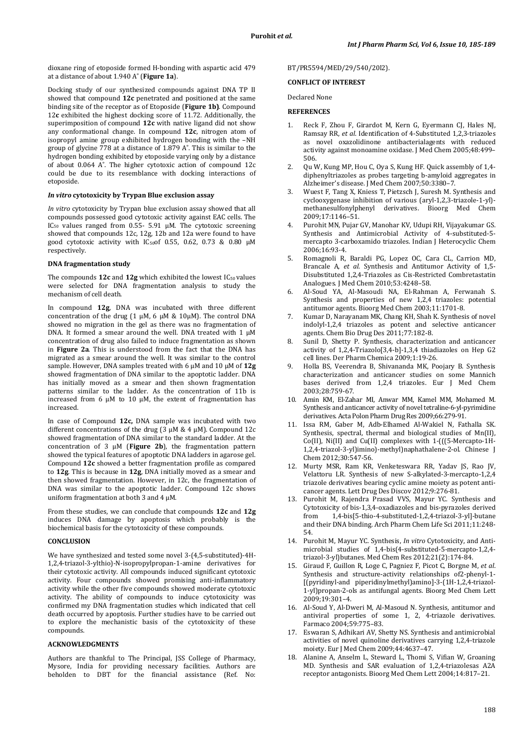dioxane ring of etoposide formed H-bonding with aspartic acid 479 at a distance of about 1.940 A˚ (**Figure 1a**).

Docking study of our synthesized compounds against DNA TP II showed that compound **12c** penetrated and positioned at the same binding site of the receptor as of Etoposide (**Figure 1b)**. Compound 12**c** exhibited the highest docking score of 11.72. Additionally, the superimposition of compound **12c** with native ligand did not show any conformational change. In compound **12c**, nitrogen atom of isopropyl amine group exhibited hydrogen bonding with the –NH group of glycine 778 at a distance of 1.879 A˚. This is similar to the hydrogen bonding exhibited by etoposide varying only by a distance of about 0.064 A˚. The higher cytotoxic action of compound 12c could be due to its resemblance with docking interactions of etoposide.

#### *In vitro* **cytotoxicity by Trypan Blue exclusion assay**

*In vitro* cytotoxicity by Trypan blue exclusion assay showed that all compounds possessed good cytotoxic activity against EAC cells. The IC50 values ranged from 0.55- 5.91 μM. The cytotoxic screening showed that compounds 12c, 12g, 12b and 12a were found to have good cytotoxic activity with IC50of 0.55, 0.62, 0.73 & 0.80 μM respectively.

#### **DNA fragmentation study**

The compounds 12c and 12g which exhibited the lowest IC<sub>50</sub> values were selected for DNA fragmentation analysis to study the mechanism of cell death.

In compound **12g**, DNA was incubated with three different concentration of the drug (1 μM, 6 μM & 10μM). The control DNA showed no migration in the gel as there was no fragmentation of DNA. It formed a smear around the well. DNA treated with 1 μM concentration of drug also failed to induce fragmentation as shown in **Figure 2a**. This is understood from the fact that the DNA has migrated as a smear around the well. It was similar to the control sample. However, DNA samples treated with 6 μM and 10 μM of **12g** showed fragmentation of DNA similar to the apoptotic ladder. DNA has initially moved as a smear and then shown fragmentation patterns similar to the ladder. As the concentration of 11b is increased from 6 μM to 10 μM, the extent of fragmentation has increased.

In case of Compound **12c,** DNA sample was incubated with two different concentrations of the drug (3 μM & 4 μM). Compound 12c showed fragmentation of DNA similar to the standard ladder. At the concentration of 3 μM (**Figure 2b**), the fragmentation pattern showed the typical features of apoptotic DNA ladders in agarose gel. Compound **12c** showed a better fragmentation profile as compared to **12g**. This is because in **12g**, DNA initially moved as a smear and then showed fragmentation. However, in 12c, the fragmentation of DNA was similar to the apoptotic ladder. Compound 12c shows uniform fragmentation at both 3 and 4 μM.

From these studies, we can conclude that compounds **12c** and **12g** induces DNA damage by apoptosis which probably is the biochemical basis for the cytotoxicity of these compounds.

#### **CONCLUSION**

We have synthesized and tested some novel 3-(4,5-substituted)-4H-1,2,4-triazol-3-ylthio)-N-isopropylpropan-1-amine derivatives for their cytotoxic activity. All compounds induced significant cytotoxic activity. Four compounds showed promising anti-inflammatory activity while the other five compounds showed moderate cytotoxic activity. The ability of compounds to induce cytotoxicity was confirmed my DNA fragmentation studies which indicated that cell death occurred by apoptosis. Further studies have to be carried out to explore the mechanistic basis of the cytotoxicity of these compounds.

# **ACKNOWLEDGMENTS**

Authors are thankful to The Principal, JSS College of Pharmacy, Mysore, India for providing necessary facilities. Authors are beholden to DBT for the financial assistance (Ref. No:

# BT/PR5594/MED/29/540/20l2).

### **CONFLICT OF INTEREST**

Declared None

# **REFERENCES**

- 1. Reck F, Zhou F, Girardot M, Kern G, Eyermann CJ, Hales NJ, Ramsay RR, *et al*. Identification of 4-Substituted 1,2,3-triazoles as novel oxazolidinone antibacterialagents with reduced activity against monoamine oxidase. J Med Chem 2005;48:499– 506.
- 2. Qu W, Kung MP, Hou C, Oya S, Kung HF. Quick assembly of 1,4 diphenyltriazoles as probes targeting b-amyloid aggregates in Alzheimer's disease. J Med Chem 2007;50:3380–7.
- 3. Wuest F, Tang X, Kniess T, Pietzsch J, Suresh M. Synthesis and cyclooxygenase inhibition of various (aryl-1,2,3-triazole-1-yl) methanesulfonylphenyl derivatives. Bioorg Med Chem 2009;17:1146–51.
- 4. Purohit MN, Pujar GV, Manohar KV, Udupi RH, Vijayakumar GS. Synthesis and Antimicrobial Activity of 4-substituted-5 mercapto 3-carboxamido triazoles. Indian J Heterocyclic Chem 2006;16:93-4.
- 5. Romagnoli R, Baraldi PG, Lopez OC, Cara CL, Carrion MD, Brancale A, *et al*. Synthesis and Antitumor Activity of 1,5- Disubstituted 1,2,4-Triazoles as Cis-Restricted Combretastatin Analogues. J Med Chem 2010;53:4248–58.
- 6. Al-Soud YA, Al-Masoudi NA, El-Rahman A, Ferwanah S. Synthesis and properties of new 1,2,4 triazoles: potential antitumor agents. Bioorg Med Chem 2003;11:1701-8.
- 7. Kumar D, Narayanam MK, Chang KH, Shah K. Synthesis of novel indolyl-1,2,4 triazoles as potent and selective anticancer agents. Chem Bio Drug Des 2011;77:182-8.
- Sunil D, Shetty P. Synthesis, characterization and anticancer activity of 1,2,4-Triazolo[3,4-b]-1,3,4 thiadiazoles on Hep G2 cell lines. Der Pharm Chemica 2009;1:19-26.
- 9. Holla BS, Veerendra B, Shivananda MK, Poojary B. Synthesis characterization and anticancer studies on some Mannich bases derived from 1,2,4 triazoles. Eur J Med Chem 2003;28:759-67.
- 10. Amin KM, El-Zahar MI, Anwar MM, Kamel MM, Mohamed M. Synthesis and anticancer activity of novel tetraline-6-yl-pyrimidine derivatives. Acta Polon Pharm Drug Res 2009;66:279-91.
- 11. Issa RM, Gaber M, Adb-Elhamed Al-Wakiel N, Fathalla SK. Synthesis, spectral, thermal and biological studies of Mn(II), Co(II), Ni(II) and Cu(II) complexes with 1-(((5-Mercapto-1H-1,2,4-triazol-3-yl)imino)-methyl)naphathalene-2-ol. Chinese J Chem 2012;30:547-56.
- 12. Murty MSR, Ram KR, Venketeswara RR, Yadav JS, Rao JV, Velattoru LR. Synthesis of new S-alkylated-3-mercapto-1,2,4 triazole derivatives bearing cyclic amine moiety as potent anticancer agents. Lett Drug Des Discov 2012;9:276-81.
- 13. Purohit M, Rajendra Prasad VVS, Mayur YC. Synthesis and Cytotoxicity of bis-1,3,4-oxadiazoles and bis-pyrazoles derived 1,4-bis[5-thio-4-substituted-1,2,4-triazol-3-yl]-butane and their DNA binding. Arch Pharm Chem Life Sci 2011;11:248- 54.
- 14. Purohit M, Mayur YC. Synthesis, *In vitro* Cytotoxicity, and Antimicrobial studies of 1,4-bis(4-substituted-5-mercapto-1,2,4 triazol-3-yl)butanes. Med Chem Res 2012;21(2):174-84.
- 15. Giraud F, Guillon R, Loge C, Pagniez F, Picot C, Borgne M, *et al*. Synthesis and structure-activity relationships of2-phenyl-1- [(pyridinyl-and piperidinylmethyl)amino]-3-(1H-1,2,4-triazol-1-yl)propan-2-ols as antifungal agents. Bioorg Med Chem Lett 2009;19:301–4.
- 16. Al-Soud Y, Al-Dweri M, Al-Masoud N. Synthesis, antitumor and antiviral properties of some 1, 2, 4-triazole derivatives. Farmaco 2004;59:775–83.
- 17. Eswaran S, Adhikari AV, Shetty NS. Synthesis and antimicrobial activities of novel quinoline derivatives carrying 1,2,4-triazole moiety. Eur J Med Chem 2009;44:4637–47.
- 18. Alanine A, Anselm L, Steward L, Thomi S, Vifian W, Groaning MD. Synthesis and SAR evaluation of 1,2,4-triazolesas A2A receptor antagonists. Bioorg Med Chem Lett 2004;14:817–21.